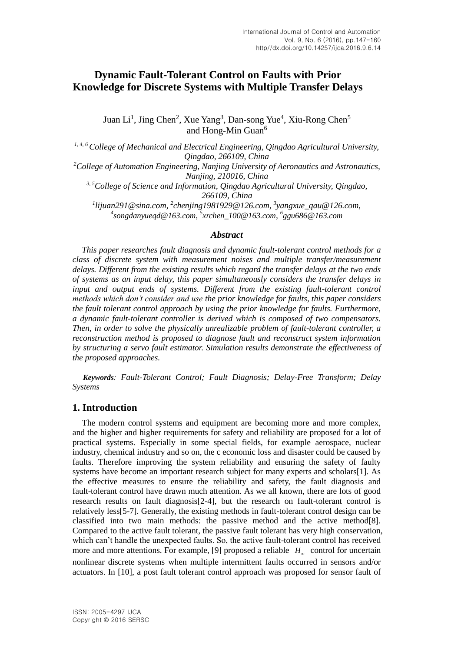# **Dynamic Fault-Tolerant Control on Faults with Prior Knowledge for Discrete Systems with Multiple Transfer Delays**

Juan Li<sup>1</sup>, Jing Chen<sup>2</sup>, Xue Yang<sup>3</sup>, Dan-song Yue<sup>4</sup>, Xiu-Rong Chen<sup>5</sup> and Hong-Min Guan<sup>6</sup>

*1, 4, <sup>6</sup>College of Mechanical and Electrical Engineering, Qingdao Agricultural University, Qingdao, 266109, China <sup>2</sup>College of Automation Engineering, Nanjing University of Aeronautics and Astronautics, Nanjing, 210016, China 3, <sup>5</sup>College of Science and Information, Qingdao Agricultural University, Qingdao, 266109, China 1 [lijuan291@sina.com,](mailto:lijuan291@sina.com) 2 chenjing1981929@126.com, <sup>3</sup> [yangxue\\_qau@126.com,](mailto:yangxue_qau@126.com)* 

*4 songdanyueqd@163.com, 5 xrchen\_100@163.com, 6 ggu686@163.com*

# *Abstract*

*This paper researches fault diagnosis and dynamic fault-tolerant control methods for a class of discrete system with measurement noises and multiple transfer/measurement delays. Different from the existing results which regard the transfer delays at the two ends of systems as an input delay, this paper simultaneously considers the transfer delays in input and output ends of systems. Different from the existing fault-tolerant control methods which don't consider and use the prior knowledge for faults, this paper considers the fault tolerant control approach by using the prior knowledge for faults. Furthermore, a dynamic fault-tolerant controller is derived which is composed of two compensators. Then, in order to solve the physically unrealizable problem of fault-tolerant controller, a reconstruction method is proposed to diagnose fault and reconstruct system information by structuring a servo fault estimator. Simulation results demonstrate the effectiveness of the proposed approaches.* 

*Keywords: Fault-Tolerant Control; Fault Diagnosis; Delay-Free Transform; Delay Systems*

# **1. Introduction**

The modern control systems and equipment are becoming more and more complex, and the higher and higher requirements for safety and reliability are proposed for a lot of practical systems. Especially in some special fields, for example aerospace, nuclear industry, chemical industry and so on, the c economic loss and disaster could be caused by faults. Therefore improving the system reliability and ensuring the safety of faulty systems have become an important research subject for many experts and scholars[1]. As the effective measures to ensure the reliability and safety, the fault diagnosis and fault-tolerant control have drawn much attention. As we all known, there are lots of good research results on fault diagnosis[2-4], but the research on fault-tolerant control is relatively less[5-7]. Generally, the existing methods in fault-tolerant control design can be classified into two main methods: the passive method and the active method $[8]$ . Compared to the active fault tolerant, the passive fault tolerant has very high conservation, which can't handle the unexpected faults. So, the active fault-tolerant control has received more and more attentions. For example, [9] proposed a reliable  $H<sub>\infty</sub>$  control for uncertain nonlinear discrete systems when multiple intermittent faults occurred in sensors and/or actuators. In [10], a post fault tolerant control approach was proposed for sensor fault of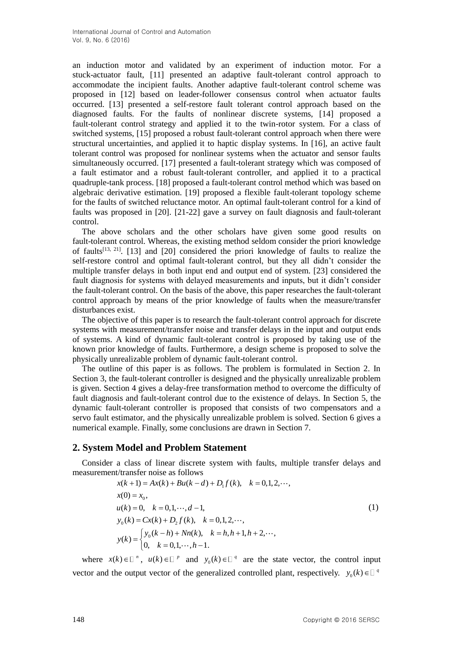an induction motor and validated by an experiment of induction motor. For a stuck-actuator fault, [11] presented an adaptive fault-tolerant control approach to accommodate the incipient faults. Another adaptive fault-tolerant control scheme was proposed in [12] based on leader-follower consensus control when actuator faults occurred. [13] presented a self-restore fault tolerant control approach based on the diagnosed faults. For the faults of nonlinear discrete systems, [14] proposed a fault-tolerant control strategy and applied it to the twin-rotor system. For a class of switched systems, [15] proposed a robust fault-tolerant control approach when there were structural uncertainties, and applied it to haptic display systems. In [16], an active fault tolerant control was proposed for nonlinear systems when the actuator and sensor faults simultaneously occurred. [17] presented a fault-tolerant strategy which was composed of a fault estimator and a robust fault-tolerant controller, and applied it to a practical quadruple-tank process. [18] proposed a fault-tolerant control method which was based on algebraic derivative estimation. [19] proposed a flexible fault-tolerant topology scheme for the faults of switched reluctance motor. An optimal fault-tolerant control for a kind of faults was proposed in [20]. [21-22] gave a survey on fault diagnosis and fault-tolerant control.

The above scholars and the other scholars have given some good results on fault-tolerant control. Whereas, the existing method seldom consider the priori knowledge of faults<sup>[13, 21]</sup>. [13] and [20] considered the priori knowledge of faults to realize the self-restore control and optimal fault-tolerant control, but they all didn't consider the multiple transfer delays in both input end and output end of system. [23] considered the fault diagnosis for systems with delayed measurements and inputs, but it didn't consider the fault-tolerant control. On the basis of the above, this paper researches the fault-tolerant control approach by means of the prior knowledge of faults when the measure/transfer disturbances exist.

The objective of this paper is to research the fault-tolerant control approach for discrete systems with measurement/transfer noise and transfer delays in the input and output ends of systems. A kind of dynamic fault-tolerant control is proposed by taking use of the known prior knowledge of faults. Furthermore, a design scheme is proposed to solve the physically unrealizable problem of dynamic fault-tolerant control.

The outline of this paper is as follows. The problem is formulated in Section 2. In Section 3, the fault-tolerant controller is designed and the physically unrealizable problem is given. Section 4 gives a delay-free transformation method to overcome the difficulty of fault diagnosis and fault-tolerant control due to the existence of delays. In Section 5, the dynamic fault-tolerant controller is proposed that consists of two compensators and a servo fault estimator, and the physically unrealizable problem is solved. Section 6 gives a numerical example. Finally, some conclusions are drawn in Section 7.

# **2. System Model and Problem Statement**

Consider a class of linear discrete system with faults, multiple transfer delays and measurement/transfer noise as follows<br>  $x(k+1) = Ax(k) + Bu(k-d) + D_1 f(k), \quad k = 0,1,2,...,$ 

$$
x(k+1) = Ax(k) + Bu(k-d) + D_1 f(k), \quad k = 0, 1, 2, \dots,
$$
  
\n
$$
x(0) = x_0,
$$
  
\n
$$
u(k) = 0, \quad k = 0, 1, \dots, d - 1,
$$
  
\n
$$
y_0(k) = Cx(k) + D_2 f(k), \quad k = 0, 1, 2, \dots,
$$
  
\n
$$
y(k) = \begin{cases} y_0(k-h) + Nn(k), & k = h, h+1, h+2, \dots, \\ 0, & k = 0, 1, \dots, h-1. \end{cases}
$$
\n(1)

where  $x(k) \in \mathbb{R}^n$ ,  $u(k) \in \mathbb{R}^p$  and  $y_0(k) \in \mathbb{R}^q$  are the state vector, the control input vector and the output vector of the generalized controlled plant, respectively.  $y_0(k) \in \mathbb{R}^4$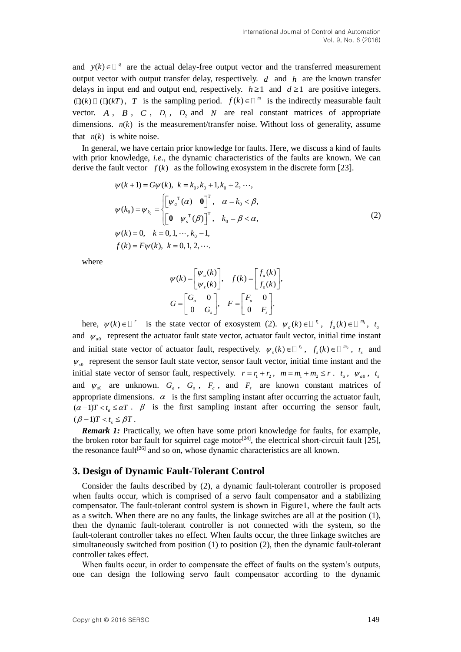and  $y(k) \in \mathbb{R}^q$  are the actual delay-free output vector and the transferred measurement output vector with output transfer delay, respectively.  $d$  and  $h$  are the known transfer delays in input end and output end, respectively.  $h \ge 1$  and  $d \ge 1$  are positive integers.  $(\mathbb{D}(k) \square (\mathbb{D}(k)) \cap T$  is the sampling period.  $f(k) \in \square^m$  is the indirectly measurable fault vector.  $A$ ,  $B$ ,  $C$ ,  $D_1$ ,  $D_2$  and  $N$  are real constant matrices of appropriate dimensions.  $n(k)$  is the measurement/transfer noise. Without loss of generality, assume that  $n(k)$  is white noise.

In general, we have certain prior knowledge for faults. Here, we discuss a kind of faults with prior knowledge, *i.e*., the dynamic characteristics of the faults are known. We can derive the fault vector  $f(k)$  as the following exosystem in the discrete form [23].

$$
\psi(k+1) = G\psi(k), \ k = k_0, k_0 + 1, k_0 + 2, \cdots,
$$
  
\n
$$
\psi(k_0) = \psi_{k_0} = \begin{cases} \left[ \psi_a^T(\alpha) & \mathbf{0} \right]^T, & \alpha = k_0 < \beta, \\ \left[ \mathbf{0} & \psi_s^T(\beta) \right]^T, & k_0 = \beta < \alpha, \end{cases}
$$
  
\n
$$
\psi(k) = 0, \quad k = 0, 1, \cdots, k_0 - 1,
$$
  
\n
$$
f(k) = F\psi(k), \quad k = 0, 1, 2, \cdots.
$$
\n(2)

where

$$
\psi(k) = \begin{bmatrix} \psi_a(k) \\ \psi_s(k) \end{bmatrix}, \quad f(k) = \begin{bmatrix} f_a(k) \\ f_s(k) \end{bmatrix},
$$

$$
G = \begin{bmatrix} G_a & 0 \\ 0 & G_s \end{bmatrix}, \quad F = \begin{bmatrix} F_a & 0 \\ 0 & F_s \end{bmatrix}.
$$

here,  $\psi(k) \in \mathbb{I}^r$  is the state vector of exosystem (2).  $\psi_a(k) \in \mathbb{I}^r$ ,  $f_a(k) \in \mathbb{I}^{m_1}$ ,  $t_a$ and  $\psi_{a0}$  represent the actuator fault state vector, actuator fault vector, initial time instant and initial state vector of actuator fault, respectively.  $\psi_s(k) \in \mathbb{Z}^n$ ,  $f_s(k) \in \mathbb{Z}^{m_2}$ ,  $t_s$  and  $\psi_{s0}$  represent the sensor fault state vector, sensor fault vector, initial time instant and the initial state vector of sensor fault, respectively.  $r = r_1 + r_2$ ,  $m = m_1 + m_2 \le r$ .  $t_a$ ,  $\psi_{a0}$ ,  $t_s$ and  $\psi_{s0}$  are unknown.  $G_a$ ,  $G_s$ ,  $F_a$ , and  $F_s$  are known constant matrices of appropriate dimensions.  $\alpha$  is the first sampling instant after occurring the actuator fault,  $(\alpha - 1)T < t_a \leq \alpha T$ .  $\beta$  is the first sampling instant after occurring the sensor fault,  $(\beta - 1)T < t_s \leq \beta T$ .

*Remark 1:* Practically, we often have some priori knowledge for faults, for example, the broken rotor bar fault for squirrel cage motor<sup>[24]</sup>, the electrical short-circuit fault [25], the resonance fault<sup>[26]</sup> and so on, whose dynamic characteristics are all known.

# **3. Design of Dynamic Fault-Tolerant Control**

Consider the faults described by (2), a dynamic fault-tolerant controller is proposed when faults occur, which is comprised of a servo fault compensator and a stabilizing compensator. The fault-tolerant control system is shown in Figure1, where the fault acts as a switch. When there are no any faults, the linkage switches are all at the position (1), then the dynamic fault-tolerant controller is not connected with the system, so the fault-tolerant controller takes no effect. When faults occur, the three linkage switches are simultaneously switched from position (1) to position (2), then the dynamic fault-tolerant controller takes effect.

When faults occur, in order to compensate the effect of faults on the system's outputs, one can design the following servo fault compensator according to the dynamic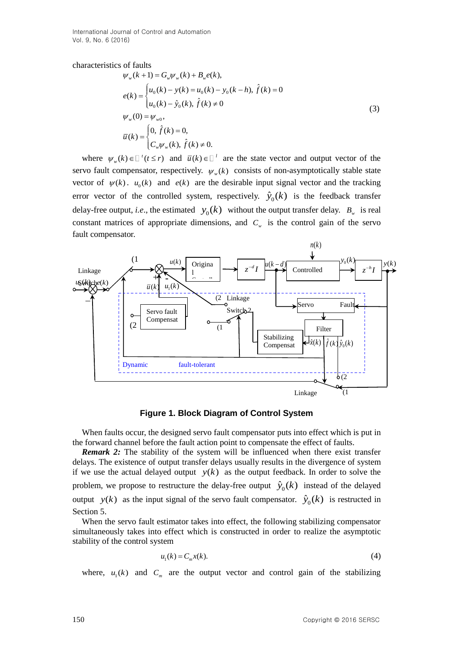International Journal of Control and Automation Vol. 9, No. 6 (2016)

characteristics of faults

$$
\psi_{w}(k+1) = G_{w}\psi_{w}(k) + B_{w}e(k),
$$
\n
$$
e(k) =\begin{cases}\nu_{0}(k) - y(k) = u_{0}(k) - y_{0}(k-h), \hat{f}(k) = 0 \\
u_{0}(k) - \hat{y}_{0}(k), \hat{f}(k) \neq 0\n\end{cases}
$$
\n
$$
\psi_{w}(0) = \psi_{w0},
$$
\n
$$
\overline{u}(k) =\begin{cases}\n0, \hat{f}(k) = 0, \\
C_{w}\psi_{w}(k), \hat{f}(k) \neq 0.\n\end{cases}
$$
\n(3)

where  $\psi_w(k) \in [t^{\prime}(t \leq r)]$  and  $\overline{u}(k) \in [t^{\prime}]$  are the state vector and output vector of the servo fault compensator, respectively.  $\psi_w(k)$  consists of non-asymptotically stable state vector of  $\psi(k)$ .  $u_0(k)$  and  $e(k)$  are the desirable input signal vector and the tracking error vector of the controlled system, respectively.  $\hat{y}_0(k)$  is the feedback transfer delay-free output, *i.e.*, the estimated  $y_0(k)$  without the output transfer delay.  $B_w$  is real constant matrices of appropriate dimensions, and  $C_w$  is the control gain of the servo fault compensator.



**Figure 1. Block Diagram of Control System**

When faults occur, the designed servo fault compensator puts into effect which is put in the forward channel before the fault action point to compensate the effect of faults.

*Remark 2:* The stability of the system will be influenced when there exist transfer delays. The existence of output transfer delays usually results in the divergence of system if we use the actual delayed output  $y(k)$  as the output feedback. In order to solve the problem, we propose to restructure the delay-free output  $\hat{y}_0(k)$  instead of the delayed output  $y(k)$  as the input signal of the servo fault compensator.  $\hat{y}_0(k)$  is restructed in Section 5.

When the servo fault estimator takes into effect, the following stabilizing compensator simultaneously takes into effect which is constructed in order to realize the asymptotic stability of the control system

$$
u_1(k) = C_m x(k). \tag{4}
$$

where,  $u_1(k)$  and  $C_m$  are the output vector and control gain of the stabilizing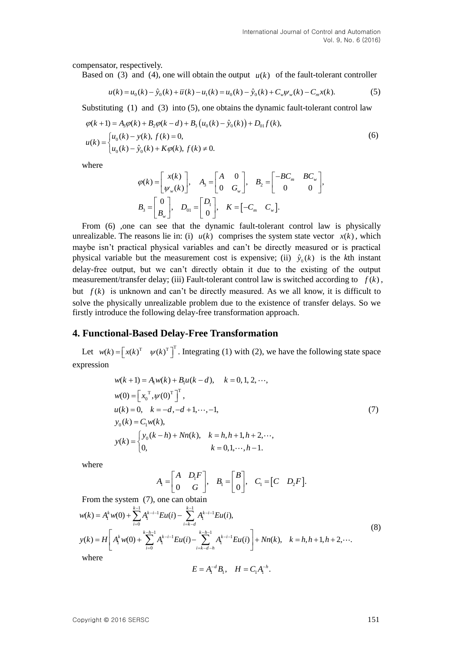compensator, respectively.

Based on (3) and (4), one will obtain the output  $u(k)$  of the fault-tolerant controller

$$
u(k) = u_0(k) - \hat{y}_0(k) + \overline{u}(k) - u_1(k) = u_0(k) - \hat{y}_0(k) + C_w \psi_w(k) - C_m x(k).
$$
 (5)

Substituting (1) and (3) into (5), one obtains the dynamic fault-tolerant control law

$$
\varphi(k+1) = A_3 \varphi(k) + B_2 \varphi(k-d) + B_3 (u_0(k) - \hat{y}_0(k)) + D_{01} f(k),
$$
  
\n
$$
u(k) = \begin{cases} u_0(k) - y(k), f(k) = 0, \\ u_0(k) - \hat{y}_0(k) + K \varphi(k), f(k) \neq 0. \end{cases}
$$
\n(6)

where

$$
\varphi(k) = \begin{bmatrix} x(k) \\ \psi_w(k) \end{bmatrix}, \quad A_3 = \begin{bmatrix} A & 0 \\ 0 & G_w \end{bmatrix}, \quad B_2 = \begin{bmatrix} -BC_m & BC_w \\ 0 & 0 \end{bmatrix},
$$

$$
B_3 = \begin{bmatrix} 0 \\ B_w \end{bmatrix}, \quad D_{01} = \begin{bmatrix} D_1 \\ 0 \end{bmatrix}, \quad K = \begin{bmatrix} -C_m & C_w \end{bmatrix}.
$$

From (6) ,one can see that the dynamic fault-tolerant control law is physically unrealizable. The reasons lie in: (i)  $u(k)$  comprises the system state vector  $x(k)$ , which maybe isn't practical physical variables and can't be directly measured or is practical physical variable but the measurement cost is expensive; (ii)  $\hat{y}_0(k)$  is the *k*th instant delay-free output, but we can't directly obtain it due to the existing of the output measurement/transfer delay; (iii) Fault-tolerant control law is switched according to  $f(k)$ , but  $f(k)$  is unknown and can't be directly measured. As we all know, it is difficult to solve the physically unrealizable problem due to the existence of transfer delays. So we firstly introduce the following delay-free transformation approach.

# **4. Functional-Based Delay-Free Transformation**

Let  $w(k) = \begin{bmatrix} x(k)^T & \psi(k)^T \end{bmatrix}^T$ . Integrating (1) with (2), we have the following state space expression

$$
w(k+1) = A_1 w(k) + B_1 u(k-d), \quad k = 0, 1, 2, \cdots,
$$
  
\n
$$
w(0) = \left[ x_0^T, \psi(0)^T \right]^T,
$$
  
\n
$$
u(k) = 0, \quad k = -d, -d + 1, \cdots, -1,
$$
  
\n
$$
y_0(k) = C_1 w(k),
$$
  
\n
$$
y(k) = \begin{cases} y_0(k-h) + Nn(k), & k = h, h+1, h+2, \cdots, \\ 0, & k = 0, 1, \cdots, h-1. \end{cases}
$$
\n(7)

where

$$
A_1 = \begin{bmatrix} A & D_1 F \\ 0 & G \end{bmatrix}, B_1 = \begin{bmatrix} B \\ 0 \end{bmatrix}, C_1 = \begin{bmatrix} C & D_2 F \end{bmatrix}.
$$

From the system (7), one can obtain

$$
w(k) = A_1^k w(0) + \sum_{i=0}^{k-1} A_1^{k-i-1} E u(i) - \sum_{i=k-d}^{k-1} A_1^{k-i-1} E u(i),
$$
  
\n
$$
y(k) = H \left[ A_1^k w(0) + \sum_{i=0}^{k-h-1} A_1^{k-i-1} E u(i) - \sum_{i=k-d-h}^{k-h-1} A_1^{k-i-1} E u(i) \right] + Nn(k), \quad k = h, h+1, h+2, \cdots.
$$
\nwhere\n
$$
y(k) = \sum_{i=0}^{k-1} A_i^{k-i-1} E u(i) - \sum_{i=k-d-h}^{k-h-1} A_i^{k-i-1} E u(i) + Nn(k), \quad k = h, h+1, h+2, \cdots.
$$
\n(8)

$$
E = A_1^{-d} B_1, \quad H = C_1 A_1^{-h}.
$$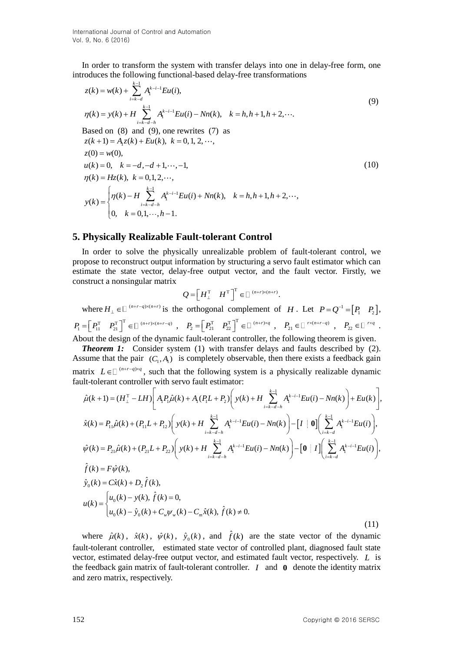In order to transform the system with transfer delays into one in delay-free form, one introduces the following functional-based delay-free transformations

$$
z(k) = w(k) + \sum_{i=k-d}^{k-1} A_i^{k-i-1} Eu(i),
$$
  
\n
$$
\eta(k) = y(k) + H \sum_{i=k-d-h}^{k-1} A_i^{k-i-1} Eu(i) - Nn(k), \quad k = h, h+1, h+2, \cdots.
$$
  
\nBased on (8) and (9), one rewrites (7) as  
\n
$$
z(k+1) = A_i z(k) + Eu(k), \quad k = 0, 1, 2, \cdots,
$$
  
\n
$$
z(0) = w(0),
$$
  
\n
$$
u(k) = 0, \quad k = -d, -d+1, \cdots, -1,
$$
  
\n
$$
\eta(k) = Hz(k), \quad k = 0, 1, 2, \cdots,
$$
  
\n
$$
y(k) = \begin{cases} \eta(k) - H \sum_{i=k-d-h}^{k-1} A_i^{k-i-1} Eu(i) + Nn(k), & k = h, h+1, h+2, \cdots, \\ 0, & k = 0, 1, \cdots, h-1. \end{cases}
$$
\n(10)

#### **5. Physically Realizable Fault-tolerant Control**

In order to solve the physically unrealizable problem of fault-tolerant control, we propose to reconstruct output information by structuring a servo fault estimator which can estimate the state vector, delay-free output vector, and the fault vector. Firstly, we construct a nonsingular matrix

$$
Q = \left[ H_{\perp}^{\mathrm{T}} \quad H^{\mathrm{T}} \right]^{\mathrm{T}} \in \square^{(n+r) \times (n+r)}.
$$

where  $H_{\perp} \in \mathbb{D}^{(n+r-q)\times(n+r)}$  is the orthogonal complement of H. Let  $P = Q^{-1} = [P_1 \quad P_2],$ 

 $P_1 = \begin{bmatrix} P_{11}^T & P_{21}^T \end{bmatrix}^T \in \square^{(n+r)\times (n+r-q)}$ ,  $P_2 = \begin{bmatrix} P_{21}^T & P_{22}^T \end{bmatrix}^T \in \square^{(n+r)\times q}$ ,  $P_{21} \in \square^{r\times (n+r-q)}$ ,  $P_{22} \in \square^{r\times q}$ . About the design of the dynamic fault-tolerant controller, the following theorem is given.

*Theorem 1:* Consider system (1) with transfer delays and faults described by (2). Assume that the pair  $(C_1, A_1)$  is completely observable, then there exists a feedback gain

Assume that the plan 
$$
(C_1, A_1)
$$
 is completely observed, then there exists a feedback gain  
matrix  $L \in [{}^{(n+r-q)xq}$ , such that the following system is a physically realizable dynamic  
fault-tolerant controller with servo fault estimator:  

$$
\hat{\mu}(k+1) = (H_1^T - LH) \left[ A_1 P_1 \hat{\mu}(k) + A_1 (P_1 L + P_2) \left( y(k) + H \sum_{i=k-d-h}^{k-1} A_1^{k-i-1} E u(i) - Nn(k) \right) + E u(k) \right],
$$

$$
\hat{x}(k) = P_{11} \hat{\mu}(k) + (P_{11} L + P_{12}) \left( y(k) + H \sum_{i=k-d-h}^{k-1} A_1^{k-i-1} E u(i) - Nn(k) \right) - \left[ I \mid 0 \right] \left( \sum_{i=k-d}^{k-1} A_1^{k-i-1} E u(i) \right),
$$

$$
\hat{\psi}(k) = P_{21} \hat{\mu}(k) + (P_{21} L + P_{22}) \left( y(k) + H \sum_{i=k-d-h}^{k-1} A_1^{k-i-1} E u(i) - Nn(k) \right) - \left[ 0 \mid I \right] \left( \sum_{i=k-d}^{k-1} A_1^{k-i-1} E u(i) \right),
$$

$$
\hat{f}(k) = F \hat{\psi}(k),
$$

$$
\hat{y}_0(k) = C \hat{x}(k) + D_2 \hat{f}(k),
$$

$$
y_0(k) = C \hat{x}(k) + D_2 \hat{f}(k),
$$

$$
u(k) = \begin{cases} u_0(k) - y(k), \hat{f}(k) = 0, \\ u_0(k) - \hat{y}_0(k) + C_w \psi_w(k) - C_m \hat{x}(k), \hat{f}(k) \neq 0. \end{cases}
$$
(11)

where  $\hat{\mu}(k)$ ,  $\hat{x}(k)$ ,  $\hat{\psi}(k)$ ,  $\hat{y}_0(k)$ , and  $\hat{f}(k)$  are the state vector of the dynamic fault-tolerant controller, estimated state vector of controlled plant, diagnosed fault state vector, estimated delay-free output vector, and estimated fault vector, respectively. *L* is the feedback gain matrix of fault-tolerant controller. *<sup>I</sup>* and **0** denote the identity matrix and zero matrix, respectively.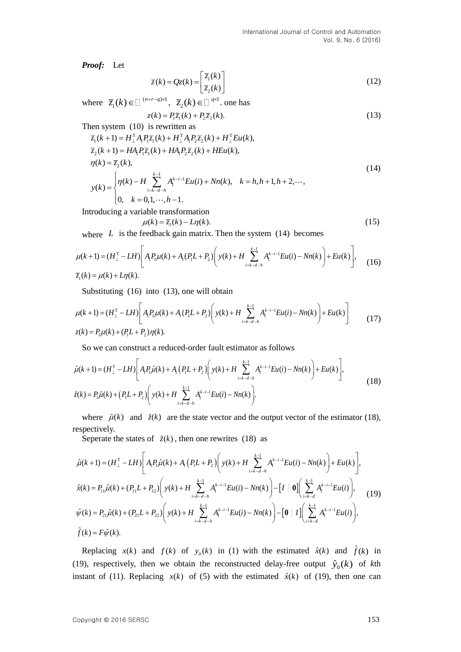*Proof:*Let

$$
\overline{z}(k) = Qz(k) = \begin{bmatrix} \overline{z}_1(k) \\ \overline{z}_2(k) \end{bmatrix}
$$
 (12)

where ( ) 1 1 ( ) *<sup>n</sup> <sup>r</sup> <sup>q</sup> <sup>z</sup> k* , 1  $\overline{z}_2(k) \in \Box$  <sup>q×1</sup>. one has

$$
z(k) = P_1 \overline{z}_1(k) + P_2 \overline{z}_2(k). \tag{13}
$$

Then system (10) is rewritten as

$$
\overline{z}_{1}(k+1) = H_{\perp}^{T} A_{1} P_{1} \overline{z}_{1}(k) + H_{\perp}^{T} A_{1} P_{2} \overline{z}_{2}(k) + H_{\perp}^{T} E u(k),
$$
\n
$$
\overline{z}_{2}(k+1) = H A_{1} P_{1} \overline{z}_{1}(k) + H A_{1} P_{2} \overline{z}_{2}(k) + H E u(k),
$$
\n
$$
\eta(k) = \overline{z}_{2}(k),
$$
\n
$$
y(k) = \begin{cases}\n\eta(k) - H \sum_{i=k-d-h}^{k-1} A_{1}^{k-i-1} E u(i) + N n(k), & k = h, h+1, h+2, \cdots, \\
0, & k = 0, 1, \cdots, h-1.\n\end{cases}
$$
\n(14)

Introducing a variable transformation

$$
\mu(k) = \overline{z}_1(k) - L\eta(k). \tag{15}
$$

where  $L$  is the feedback gain matrix. Then the system  $(14)$  becomes

$$
\mu(k+1) = (H_{\perp}^{T} - LH) \bigg[ A_{1}P_{\mu}(k) + A_{1}(P_{1}L + P_{2}) \bigg( y(k) + H \sum_{i=k-d-h}^{k-1} A_{i}^{k-i-1} Eu(i) - Nn(k) \bigg) + Eu(k) \bigg], \quad (16)
$$
  

$$
\overline{z}_{1}(k) = \mu(k) + L\eta(k).
$$

Substituting (16) into (13), one will obtain

$$
\mu(k+1) = (H_{\perp}^{T} - LH) \left[ A_{1}P_{1}\mu(k) + A_{1}(P_{1}L + P_{2}) \left( y(k) + H \sum_{i=k-d-h}^{k-1} A_{1}^{k-i-1} Eu(i) - Nn(k) \right) + Eu(k) \right]
$$
  
\n
$$
z(k) = P_{1}\mu(k) + (P_{1}L + P_{2})\eta(k).
$$
\n(17)

So we can construct a reduced-order fault estimator as follows  
\n
$$
\hat{\mu}(k+1) = (H_1^T - LH) \left[ A_1 P_1 \hat{\mu}(k) + A_1 (P_1 L + P_2) \left( y(k) + H \sum_{i=k-d-h}^{k-1} A_i^{k-i-1} E u(i) - Nn(k) \right) + E u(k) \right],
$$
\n
$$
\hat{z}(k) = P_1 \hat{\mu}(k) + (P_1 L + P_2) \left( y(k) + H \sum_{i=k-d-h}^{k-1} A_i^{k-i-1} E u(i) - Nn(k) \right).
$$
\n(18)

where  $\hat{\mu}(k)$  and  $\hat{z}(k)$  are the state vector and the output vector of the estimator (18), respectively.

Seperate the states of  $\hat{z}(k)$ , then one rewrites (18) as

$$
\hat{\mu}(k+1) = (H_{\perp}^{T} - LH) \left[ A_{1}P_{1}\hat{\mu}(k) + A_{1} (P_{1}L + P_{2}) \left( y(k) + H \sum_{i=k-d-h}^{k-1} A_{1}^{k-i-1} Eu(i) - Nn(k) \right) + Eu(k) \right],
$$
\n
$$
\hat{x}(k) = P_{11}\hat{\mu}(k) + (P_{11}L + P_{12}) \left( y(k) + H \sum_{i=k-d-h}^{k-1} A_{1}^{k-i-1} Eu(i) - Nn(k) \right) - \left[ I \mid \mathbf{0} \right] \left( \sum_{i=k-d}^{k-1} A_{1}^{k-i-1} Eu(i) \right), \quad (19)
$$
\n
$$
\hat{\psi}(k) = P_{21}\hat{\mu}(k) + (P_{21}L + P_{22}) \left( y(k) + H \sum_{i=k-d-h}^{k-1} A_{1}^{k-i-1} Eu(i) - Nn(k) \right) - \left[ \mathbf{0} \mid I \right] \left( \sum_{i=k-d}^{k-1} A_{1}^{k-i-1} Eu(i) \right),
$$
\n
$$
\hat{f}(k) = F\hat{\psi}(k).
$$

Replacing  $x(k)$  and  $f(k)$  of  $y_0(k)$  in (1) with the estimated  $\hat{x}(k)$  and  $\hat{f}(k)$  in (19), respectively, then we obtain the reconstructed delay-free output  $\hat{y}_0(k)$  of kth instant of (11). Replacing  $x(k)$  of (5) with the estimated  $\hat{x}(k)$  of (19), then one can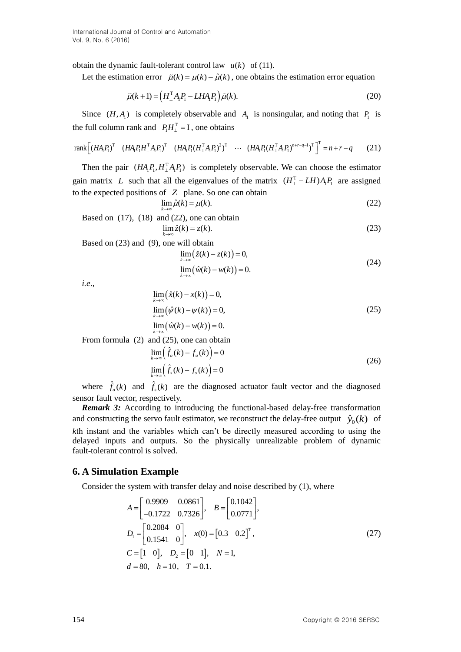obtain the dynamic fault-tolerant control law  $u(k)$  of (11).

Let the estimation error  $\tilde{\mu}(k) = \mu(k) - \hat{\mu}(k)$ , one obtains the estimation error equation

$$
\tilde{\mu}(k+1) = \left(H_{\perp}^{\mathrm{T}} A_{\mathrm{I}} P_{\mathrm{I}} - L H A_{\mathrm{I}} P_{\mathrm{I}}\right) \tilde{\mu}(k). \tag{20}
$$

Since  $(H, A<sub>1</sub>)$  is completely observable and  $A<sub>1</sub>$  is nonsingular, and noting that  $P<sub>1</sub>$  is the full column rank and  $P_1H_1^T = I$ , one obtains

$$
rank[(HA_{1}P_{1})^{T} (HA_{1}P_{1}H_{\perp}^{T}A_{1}P_{1})^{T} (HA_{1}P_{1}(H_{\perp}^{T}A_{1}P_{1})^{2})^{T} \cdots (HA_{1}P_{1}(H_{\perp}^{T}A_{1}P_{1})^{n+r-q-1})^{T}]^{T} = n+r-q
$$
 (21)

Then the pair  $(HA_1P_1, H_1^TA_1P_1)$  is completely observable. We can choose the estimator gain matrix L such that all the eigenvalues of the matrix  $(H_1^T - LH)A_1P_1$  are assigned to the expected positions of *Z* plane. So one can obtain

$$
\lim_{k \to \infty} \hat{\mu}(k) = \mu(k). \tag{22}
$$

Based on  $(17)$ ,  $(18)$  and  $(22)$ , one can obtain  $\lim_{k \to \infty} \hat{z}(k) = z(k).$  (23)

Based on (23) and (9), one will obtain

$$
\lim_{k \to \infty} (\hat{z}(k) - z(k)) = 0,
$$
  
\n
$$
\lim_{k \to \infty} (\hat{w}(k) - w(k)) = 0.
$$
\n(24)

*i.e*.,

$$
\lim_{k \to \infty} (\hat{x}(k) - x(k)) = 0,\n\lim_{k \to \infty} (\hat{\psi}(k) - \psi(k)) = 0,\n\lim_{k \to \infty} (\hat{w}(k) - w(k)) = 0.
$$
\n(25)

From formula (2) and (25), one can obtain

$$
\lim_{k \to \infty} \left( \hat{f}_a(k) - f_a(k) \right) = 0
$$
\n
$$
\lim_{k \to \infty} \left( \hat{f}_s(k) - f_s(k) \right) = 0
$$
\n(26)

where  $\hat{f}_a(k)$  and  $\hat{f}_s(k)$  are the diagnosed actuator fault vector and the diagnosed sensor fault vector, respectively.

*Remark 3:* According to introducing the functional-based delay-free transformation and constructing the servo fault estimator, we reconstruct the delay-free output  $\hat{y}_0(k)$  of *k*th instant and the variables which can't be directly measured according to using the delayed inputs and outputs. So the physically unrealizable problem of dynamic fault-tolerant control is solved.

# **6. A Simulation Example**

Consider the system with transfer delay and noise described by (1), where  
\n
$$
A = \begin{bmatrix} 0.9909 & 0.0861 \\ -0.1722 & 0.7326 \end{bmatrix}, \quad B = \begin{bmatrix} 0.1042 \\ 0.0771 \end{bmatrix},
$$
\n
$$
D_1 = \begin{bmatrix} 0.2084 & 0 \\ 0.1541 & 0 \end{bmatrix}, \quad x(0) = \begin{bmatrix} 0.3 & 0.2 \end{bmatrix}^T,
$$
\n
$$
C = \begin{bmatrix} 1 & 0 \end{bmatrix}, \quad D_2 = \begin{bmatrix} 0 & 1 \end{bmatrix}, \quad N = 1,
$$
\n
$$
d = 80, \quad h = 10, \quad T = 0.1.
$$
\n(27)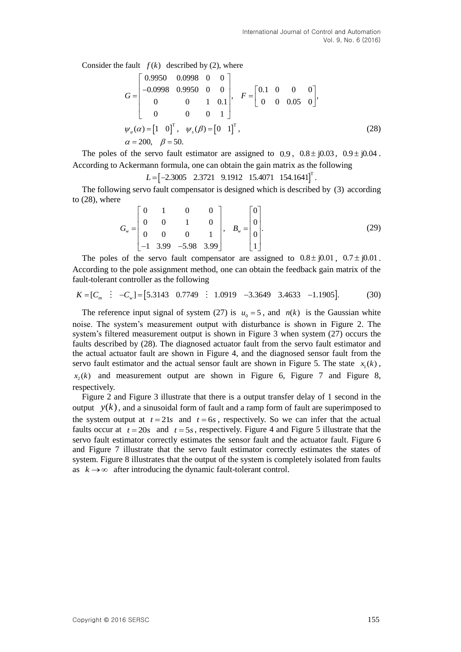Consider the fault  $f(k)$  described by (2), where

$$
G = \begin{bmatrix} 0.9950 & 0.0998 & 0 & 0 \\ -0.0998 & 0.9950 & 0 & 0 \\ 0 & 0 & 1 & 0.1 \\ 0 & 0 & 0 & 1 \end{bmatrix}, F = \begin{bmatrix} 0.1 & 0 & 0 & 0 \\ 0 & 0 & 0.05 & 0 \end{bmatrix},
$$
  
\n
$$
\psi_a(\alpha) = \begin{bmatrix} 1 & 0 \end{bmatrix}^T, \quad \psi_s(\beta) = \begin{bmatrix} 0 & 1 \end{bmatrix}^T,
$$
  
\n
$$
\alpha = 200, \quad \beta = 50.
$$
\n(28)

The poles of the servo fault estimator are assigned to  $0.9$ ,  $0.8 \pm j0.03$ ,  $0.9 \pm j0.04$ . According to Ackermann formula, one can obtain the gain matrix as the following

 $L = \begin{bmatrix} -2.3005 & 2.3721 & 9.1912 & 15.4071 & 154.1641 \end{bmatrix}^T$ .

The following servo fault compensator is designed which is described by (3) according to (28), where

$$
G_{w} = \begin{bmatrix} 0 & 1 & 0 & 0 \\ 0 & 0 & 1 & 0 \\ 0 & 0 & 0 & 1 \\ -1 & 3.99 & -5.98 & 3.99 \end{bmatrix}, \quad B_{w} = \begin{bmatrix} 0 \\ 0 \\ 0 \\ 1 \end{bmatrix}.
$$
 (29)

The poles of the servo fault compensator are assigned to  $0.8 \pm j0.01$ ,  $0.7 \pm j0.01$ . According to the pole assignment method, one can obtain the feedback gain matrix of the fault-tolerant controller as the following<br>  $K = [C_m : -C_w] = [5.3143 \quad 0.7749 : 1.0919 \quad -3.3649 \quad 3.4633 \quad -1.1905].$  (30) fault-tolerant controller as the following

$$
K = [C_m : -C_w] = [5.3143 \quad 0.7749 : 1.0919 \quad -3.3649 \quad 3.4633 \quad -1.1905]. \tag{30}
$$

The reference input signal of system (27) is  $u_0 = 5$ , and  $n(k)$  is the Gaussian white noise. The system's measurement output with disturbance is shown in Figure 2. The system's filtered measurement output is shown in Figure 3 when system (27) occurs the faults described by (28). The diagnosed actuator fault from the servo fault estimator and the actual actuator fault are shown in Figure 4, and the diagnosed sensor fault from the servo fault estimator and the actual sensor fault are shown in Figure 5. The state  $x_1(k)$ ,  $x_2(k)$  and measurement output are shown in Figure 6, Figure 7 and Figure 8, respectively.

Figure 2 and Figure 3 illustrate that there is a output transfer delay of 1 second in the output  $y(k)$ , and a sinusoidal form of fault and a ramp form of fault are superimposed to the system output at  $t = 21s$  and  $t = 6s$ , respectively. So we can infer that the actual faults occur at  $t = 20s$  and  $t = 5s$ , respectively. Figure 4 and Figure 5 illustrate that the servo fault estimator correctly estimates the sensor fault and the actuator fault. Figure 6 and Figure 7 illustrate that the servo fault estimator correctly estimates the states of system. Figure 8 illustrates that the output of the system is completely isolated from faults as  $k \rightarrow \infty$  after introducing the dynamic fault-tolerant control.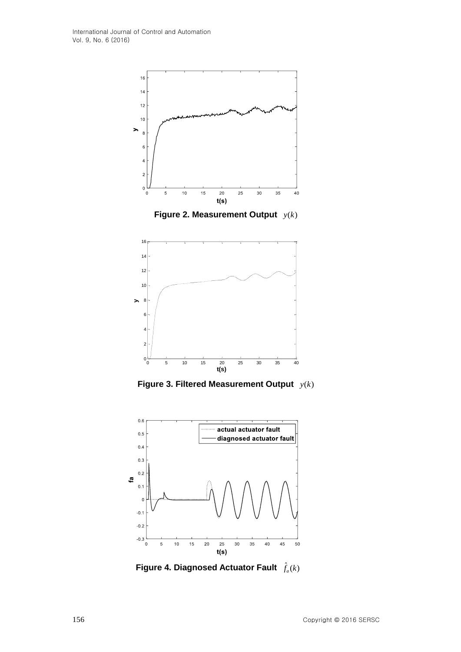

**Figure 2. Measurement Output**  $y(k)$ 



**Figure 3. Filtered Measurement Output**  $y(k)$ 



Figure 4. Diagnosed Actuator Fault  $\hat{f}_a(k)$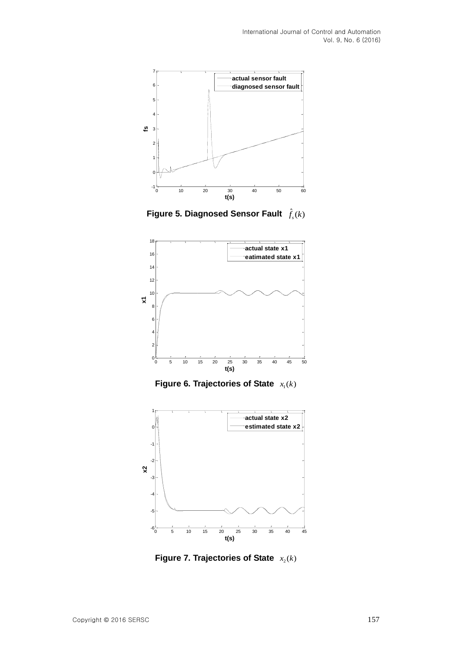

Figure 5. Diagnosed Sensor Fault  $\hat{f}_s(k)$ 



**Figure 6. Trajectories of State**  $x_1(k)$ 



**Figure 7. Trajectories of State**  $x_2(k)$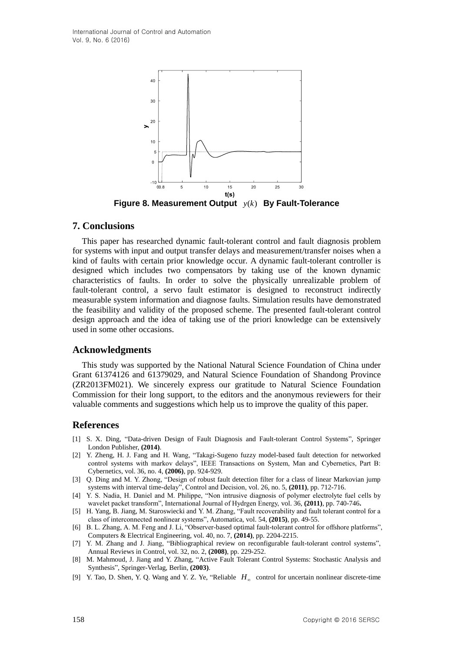

**Figure 8. Measurement Output**  $y(k)$  By Fault-Tolerance

# **7. Conclusions**

This paper has researched dynamic fault-tolerant control and fault diagnosis problem for systems with input and output transfer delays and measurement/transfer noises when a kind of faults with certain prior knowledge occur. A dynamic fault-tolerant controller is designed which includes two compensators by taking use of the known dynamic characteristics of faults. In order to solve the physically unrealizable problem of fault-tolerant control, a servo fault estimator is designed to reconstruct indirectly measurable system information and diagnose faults. Simulation results have demonstrated the feasibility and validity of the proposed scheme. The presented fault-tolerant control design approach and the idea of taking use of the priori knowledge can be extensively used in some other occasions.

# **Acknowledgments**

This study was supported by the National Natural Science Foundation of China under Grant 61374126 and 61379029, and Natural Science Foundation of Shandong Province (ZR2013FM021). We sincerely express our gratitude to Natural Science Foundation Commission for their long support, to the editors and the anonymous reviewers for their valuable comments and suggestions which help us to improve the quality of this paper.

# **References**

- [1] S. X. Ding, "Data-driven Design of Fault Diagnosis and Fault-tolerant Control Systems", Springer London Publisher, **(2014)**.
- [2] Y. Zheng, H. J. Fang and H. Wang, "Takagi-Sugeno fuzzy model-based fault detection for networked control systems with markov delays", IEEE Transactions on System, Man and Cybernetics, Part B: Cybernetics, vol. 36, no. 4, **(2006)**, pp. 924-929.
- [3] Q. Ding and M. Y. Zhong, "Design of robust fault detection filter for a class of linear Markovian jump systems with interval time-delay", Control and Decision, vol. 26, no. 5, **(2011)**, pp. 712-716.
- [4] Y. S. Nadia, H. Daniel and M. Philippe, "Non intrusive diagnosis of polymer electrolyte fuel cells by wavelet packet transform", International Journal of Hydrgen Energy, vol. 36, **(2011)**, pp. 740-746**.**
- [5] H. Yang, B. Jiang, M. Staroswiecki and Y. M. Zhang, "Fault recoverability and fault tolerant control for a class of interconnected nonlinear systems", Automatica, vol. 54, **(2015)**, pp. 49-55.
- [6] B. L. Zhang, A. M. Feng and J. Li, "Observer-based optimal fault-tolerant control for offshore platforms", Computers & Electrical Engineering, vol. 40, no. 7, **(2014)**, pp. 2204-2215.
- [7] Y. M. Zhang and J. Jiang, "Bibliographical review on reconfigurable fault-tolerant control systems", Annual Reviews in Control, vol. 32, no. 2, **(2008)**, pp. 229-252.
- [8] M. Mahmoud, J. Jiang and Y. Zhang, "Active Fault Tolerant Control Systems: Stochastic Analysis and Synthesis", Springer-Verlag, Berlin, **(2003)**.
- [9] Y. Tao, D. Shen, Y. Q. Wang and Y. Z. Ye, "Reliable  $H_{\infty}$  control for uncertain nonlinear discrete-time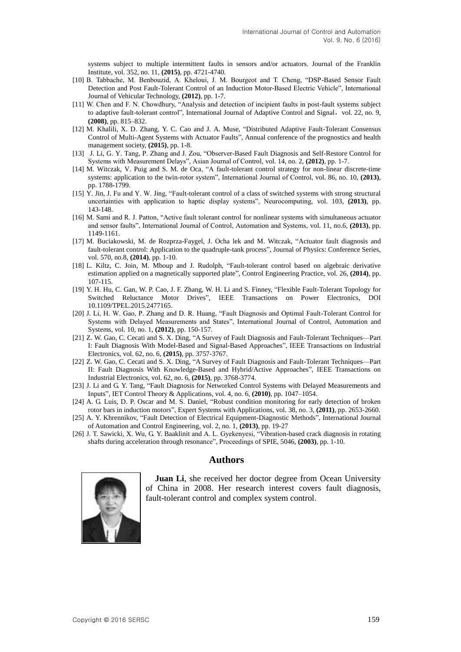systems subject to multiple intermittent faults in sensors and/or actuators. Journal of the Franklin Institute, vol. 352, no. 11, **(2015)**, pp. 4721-4740.

- [10] B. Tabbache, M. Benbouzid, A. Kheloui, J. M. Bourgeot and T. Cheng, "DSP-Based Sensor Fault Detection and Post Fault-Tolerant Control of an Induction Motor-Based Electric Vehicle", International Journal of Vehicular Technology, **(2012)**, pp. 1-7.
- [11] W. Chen and F. N. Chowdhury, "Analysis and detection of incipient faults in post-fault systems subject to adaptive fault-tolerant control", International Journal of Adaptive Control and Signal, vol. 22, no. 9, **(2008)**, pp. 815–832.
- [12] M. Khalili, X. D. Zhang, Y. C. Cao and J. A. Muse, "Distributed Adaptive Fault-Tolerant Consensus Control of Multi-Agent Systems with Actuator Faults", Annual conference of the prognostics and health management society, **(2015)**, pp. 1-8.
- [13] J. Li, G. Y. Tang, P. Zhang and J. Zou, "Observer-Based Fault Diagnosis and Self-Restore Control for Systems with Measurement Delays", Asian Journal of Control, vol. 14, no. 2, **(2012)**, pp. 1-7.
- [14] [M. Witczak,](http://scholar.cnki.net/result.aspx?q=%e4%bd%9c%e8%80%85%3a(Marcin+Witczak)&uid=WEEvREcwSlJHSldSdnQ0S200bGczMmlERUdGcGpIUGZhVHJyYXc4S25iOThxNitKOC9hZ2RodkErR1ZlQlk0PQ==) [V. Puig](http://scholar.cnki.net/result.aspx?q=%e4%bd%9c%e8%80%85%3a(Vicen%c3%a7+Puig)&uid=WEEvREcwSlJHSldSdnQ0S200bGczMmlERUdGcGpIUGZhVHJyYXc4S25iOThxNitKOC9hZ2RodkErR1ZlQlk0PQ==) and [S. M. de Oca,](http://scholar.cnki.net/result.aspx?q=%e4%bd%9c%e8%80%85%3a(Sa%c3%bal+Montes+de+Oca)&uid=WEEvREcwSlJHSldSdnQ0S200bGczMmlERUdGcGpIUGZhVHJyYXc4S25iOThxNitKOC9hZ2RodkErR1ZlQlk0PQ==) "A fault-tolerant control strategy for non-linear discrete-time systems: application to the twin-rotor system", International Journal of Control, vol. 86, no. 10, **(2013)**, pp. 1788-1799.
- [15] Y. Jin, J. Fu and Y. W. Jing, "Fault-tolerant control of a class of switched systems with strong structural uncertainties with application to haptic display systems", Neurocomputing, vol. 103, **(2013)**, pp. 143-148.
- [16] M. Sami and R. J. Patton, "Active fault tolerant control for nonlinear systems with simultaneous actuator and sensor faults", International Journal of Control, Automation and Systems, vol. 11, no.6, **(2013)**, pp. 1149-1161.
- [17] M. Buciakowski, M. de Rozprza-Faygel, J. Ocha lek and M. Witczak, "Actuator fault diagnosis and fault-tolerant control: Application to the quadruple-tank process", Journal of Physics: Conference Series, vol. 570, no.8, **(2014)**, pp. 1-10.
- [18] L. Kiltz, C. Join, M. Mboup and J. Rudolph, "Fault-tolerant control based on algebraic derivative estimation applied on a magnetically supported plate", Control Engineering Practice, vol. 26, **(2014)**, pp. 107-115.
- [19] Y. H. Hu, C. Gan, W. P. Cao, J. F. Zhang, W. H. Li and S. Finney, "Flexible Fault-Tolerant Topology for Switched Reluctance Motor Drives", IEEE Transactions on Power Electronics, DOI 10.1109/TPEL.2015.2477165.
- [20] J. Li, H. W. Gao, P. Zhang and D. R. Huang, "Fault Diagnosis and Optimal Fault-Tolerant Control for Systems with Delayed Measurements and States", International Journal of Control, Automation and Systems, vol. 10, no. 1, **(2012)**, pp. 150-157.
- [21] Z. W. Gao, C. Cecati and S. X. Ding, "A Survey of Fault Diagnosis and Fault-Tolerant Techniques—Part I: Fault Diagnosis With Model-Based and Signal-Based Approaches", IEEE Transactions on Industrial Electronics, vol. 62, no. 6, **(2015)**, pp. 3757-3767.
- [22] Z. W. Gao, C. Cecati and S. X. Ding, "A Survey of Fault Diagnosis and Fault-Tolerant Techniques—Part II: Fault Diagnosis With Knowledge-Based and Hybrid/Active Approaches", IEEE Transactions on Industrial Electronics, vol. 62, no. 6, **(2015)**, pp. 3768-3774.
- [23] J. Li and G. Y. Tang, "Fault Diagnosis for Networked Control Systems with Delayed Measurements and Inputs", IET Control Theory & Applications, vol. 4, no. 6, **(2010)**, pp. 1047–1054.
- [24] A. G. Luis, D. P. Oscar and M. S. Daniel, "Robust condition monitoring for early detection of broken rotor bars in induction motors", Expert Systems with Applications, vol. 38, no. 3, **(2011)**, pp. 2653-2660.
- [25] A. Y. Khrennikov, "Fault Detection of Electrical Equipment-Diagnostic Methods", International Journal of Automation and Control Engineering, vol. 2, no. 1, **(2013)**, pp. 19-27
- [26] J. T. Sawicki, X. Wu, G. Y. Baaklinit and A. L. Gyekenyesi, "Vibration-based crack diagnosis in rotating shafts during acceleration through resonance", Proceedings of SPIE, 5046, **(2003)**, pp. 1-10.

# **Authors**



**Juan Li**, she received her doctor degree from Ocean University of China in 2008. Her research interest covers fault diagnosis, fault-tolerant control and complex system control.